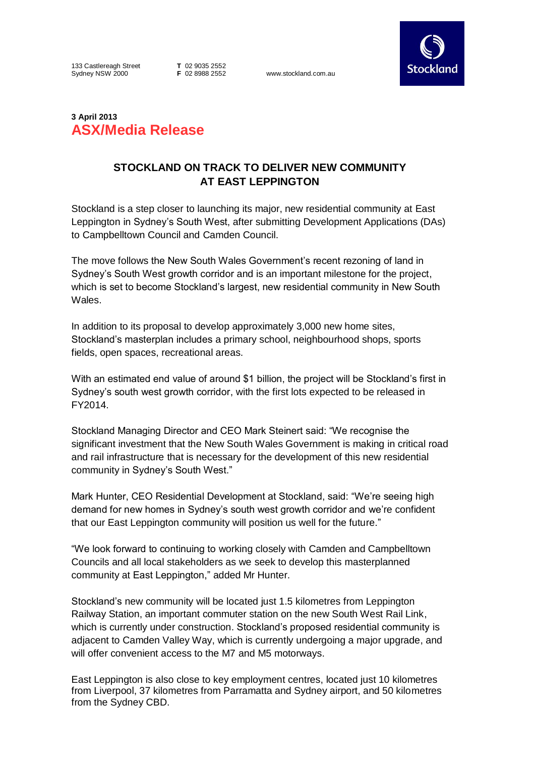133 Castlereagh Street Sydney NSW 2000

**T** 02 9035 2552

www.stockland.com.au



## **3 April 2013 ASX/Media Release**

## **STOCKLAND ON TRACK TO DELIVER NEW COMMUNITY AT EAST LEPPINGTON**

Stockland is a step closer to launching its major, new residential community at East Leppington in Sydney's South West, after submitting Development Applications (DAs) to Campbelltown Council and Camden Council.

The move follows the New South Wales Government's recent rezoning of land in Sydney's South West growth corridor and is an important milestone for the project, which is set to become Stockland's largest, new residential community in New South Wales.

In addition to its proposal to develop approximately 3,000 new home sites, Stockland's masterplan includes a primary school, neighbourhood shops, sports fields, open spaces, recreational areas.

With an estimated end value of around \$1 billion, the project will be Stockland's first in Sydney's south west growth corridor, with the first lots expected to be released in FY2014.

Stockland Managing Director and CEO Mark Steinert said: "We recognise the significant investment that the New South Wales Government is making in critical road and rail infrastructure that is necessary for the development of this new residential community in Sydney's South West."

Mark Hunter, CEO Residential Development at Stockland, said: "We're seeing high demand for new homes in Sydney's south west growth corridor and we're confident that our East Leppington community will position us well for the future."

"We look forward to continuing to working closely with Camden and Campbelltown Councils and all local stakeholders as we seek to develop this masterplanned community at East Leppington," added Mr Hunter.

Stockland's new community will be located just 1.5 kilometres from Leppington Railway Station, an important commuter station on the new South West Rail Link, which is currently under construction. Stockland's proposed residential community is adjacent to Camden Valley Way, which is currently undergoing a major upgrade, and will offer convenient access to the M7 and M5 motorways.

East Leppington is also close to key employment centres, located just 10 kilometres from Liverpool, 37 kilometres from Parramatta and Sydney airport, and 50 kilometres from the Sydney CBD.